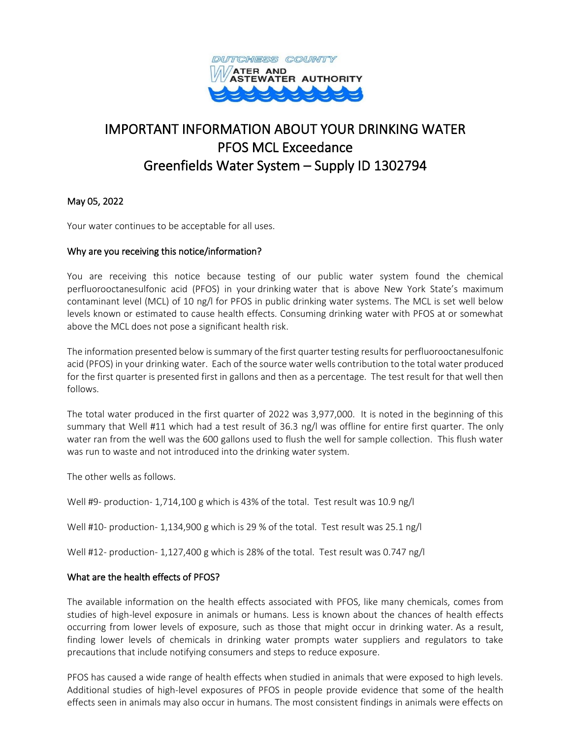

# IMPORTANT INFORMATION ABOUT YOUR DRINKING WATER PFOS MCL Exceedance Greenfields Water System – Supply ID 1302794

May 05, 2022

Your water continues to be acceptable for all uses.

## Why are you receiving this notice/information?

You are receiving this notice because testing of our public water system found the chemical perfluorooctanesulfonic acid (PFOS) in your drinking water that is above New York State's maximum contaminant level (MCL) of 10 ng/l for PFOS in public drinking water systems. The MCL is set well below levels known or estimated to cause health effects. Consuming drinking water with PFOS at or somewhat above the MCL does not pose a significant health risk.

The information presented below is summary of the first quarter testing results for perfluorooctanesulfonic acid (PFOS) in your drinking water. Each of the source water wells contribution to the total water produced for the first quarter is presented first in gallons and then as a percentage. The test result for that well then follows.

The total water produced in the first quarter of 2022 was 3,977,000. It is noted in the beginning of this summary that Well #11 which had a test result of 36.3 ng/l was offline for entire first quarter. The only water ran from the well was the 600 gallons used to flush the well for sample collection. This flush water was run to waste and not introduced into the drinking water system.

The other wells as follows.

Well #9- production- 1,714,100 g which is 43% of the total. Test result was 10.9 ng/l

Well #10- production- 1,134,900 g which is 29 % of the total. Test result was 25.1 ng/l

Well #12- production- 1,127,400 g which is 28% of the total. Test result was 0.747 ng/l

## What are the health effects of PFOS?

The available information on the health effects associated with PFOS, like many chemicals, comes from studies of high-level exposure in animals or humans. Less is known about the chances of health effects occurring from lower levels of exposure, such as those that might occur in drinking water. As a result, finding lower levels of chemicals in drinking water prompts water suppliers and regulators to take precautions that include notifying consumers and steps to reduce exposure.

PFOS has caused a wide range of health effects when studied in animals that were exposed to high levels. Additional studies of high-level exposures of PFOS in people provide evidence that some of the health effects seen in animals may also occur in humans. The most consistent findings in animals were effects on